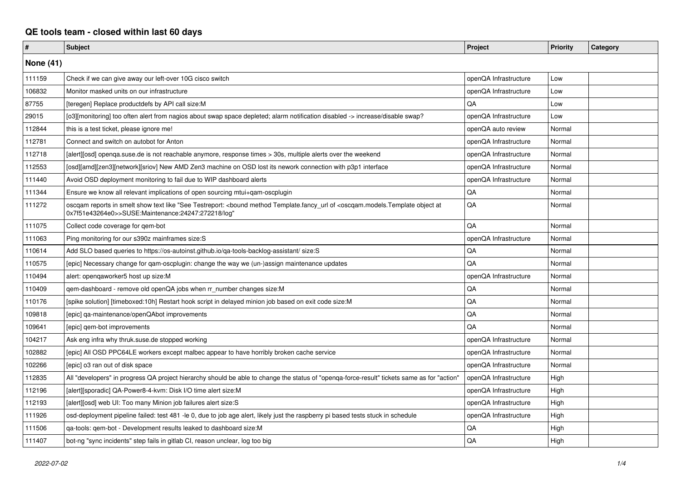## **QE tools team - closed within last 60 days**

| $\pmb{\#}$       | <b>Subject</b>                                                                                                                                                                                                      | Project               | <b>Priority</b> | Category |
|------------------|---------------------------------------------------------------------------------------------------------------------------------------------------------------------------------------------------------------------|-----------------------|-----------------|----------|
| <b>None (41)</b> |                                                                                                                                                                                                                     |                       |                 |          |
| 111159           | Check if we can give away our left-over 10G cisco switch                                                                                                                                                            | openQA Infrastructure | Low             |          |
| 106832           | Monitor masked units on our infrastructure                                                                                                                                                                          | openQA Infrastructure | Low             |          |
| 87755            | [teregen] Replace productdefs by API call size:M                                                                                                                                                                    | QA                    | Low             |          |
| 29015            | [o3][monitoring] too often alert from nagios about swap space depleted; alarm notification disabled -> increase/disable swap?                                                                                       | openQA Infrastructure | Low             |          |
| 112844           | this is a test ticket, please ignore me!                                                                                                                                                                            | openQA auto review    | Normal          |          |
| 112781           | Connect and switch on autobot for Anton                                                                                                                                                                             | openQA Infrastructure | Normal          |          |
| 112718           | [alert][osd] openqa.suse.de is not reachable anymore, response times > 30s, multiple alerts over the weekend                                                                                                        | openQA Infrastructure | Normal          |          |
| 112553           | [osd][amd][zen3][network][sriov] New AMD Zen3 machine on OSD lost its nework connection with p3p1 interface                                                                                                         | openQA Infrastructure | Normal          |          |
| 111440           | Avoid OSD deployment monitoring to fail due to WIP dashboard alerts                                                                                                                                                 | openQA Infrastructure | Normal          |          |
| 111344           | Ensure we know all relevant implications of open sourcing mtui+gam-oscplugin                                                                                                                                        | QA                    | Normal          |          |
| 111272           | oscqam reports in smelt show text like "See Testreport: <bound <oscqam.models.template="" at<br="" method="" object="" of="" template.fancy_url="">0x7f51e43264e0&gt;&gt;SUSE:Maintenance:24247:272218/log"</bound> | QA                    | Normal          |          |
| 111075           | Collect code coverage for gem-bot                                                                                                                                                                                   | QA                    | Normal          |          |
| 111063           | Ping monitoring for our s390z mainframes size:S                                                                                                                                                                     | openQA Infrastructure | Normal          |          |
| 110614           | Add SLO based queries to https://os-autoinst.github.io/ga-tools-backlog-assistant/ size:S                                                                                                                           | QA                    | Normal          |          |
| 110575           | [epic] Necessary change for qam-oscplugin: change the way we (un-)assign maintenance updates                                                                                                                        | QA                    | Normal          |          |
| 110494           | alert: opengaworker5 host up size:M                                                                                                                                                                                 | openQA Infrastructure | Normal          |          |
| 110409           | gem-dashboard - remove old openQA jobs when rr number changes size:M                                                                                                                                                | QA                    | Normal          |          |
| 110176           | [spike solution] [timeboxed:10h] Restart hook script in delayed minion job based on exit code size:M                                                                                                                | QA                    | Normal          |          |
| 109818           | [epic] ga-maintenance/openQAbot improvements                                                                                                                                                                        | QA                    | Normal          |          |
| 109641           | [epic] gem-bot improvements                                                                                                                                                                                         | QA                    | Normal          |          |
| 104217           | Ask eng infra why thruk.suse.de stopped working                                                                                                                                                                     | openQA Infrastructure | Normal          |          |
| 102882           | [epic] All OSD PPC64LE workers except malbec appear to have horribly broken cache service                                                                                                                           | openQA Infrastructure | Normal          |          |
| 102266           | [epic] o3 ran out of disk space                                                                                                                                                                                     | openQA Infrastructure | Normal          |          |
| 112835           | All "developers" in progress QA project hierarchy should be able to change the status of "openga-force-result" tickets same as for "action'                                                                         | openQA Infrastructure | High            |          |
| 112196           | [alert][sporadic] QA-Power8-4-kvm: Disk I/O time alert size:M                                                                                                                                                       | openQA Infrastructure | High            |          |
| 112193           | [alert][osd] web UI: Too many Minion job failures alert size:S                                                                                                                                                      | openQA Infrastructure | High            |          |
| 111926           | osd-deployment pipeline failed: test 481 -le 0, due to job age alert, likely just the raspberry pi based tests stuck in schedule                                                                                    | openQA Infrastructure | High            |          |
| 111506           | ga-tools: gem-bot - Development results leaked to dashboard size:M                                                                                                                                                  | QA                    | High            |          |
| 111407           | bot-ng "sync incidents" step fails in gitlab CI, reason unclear, log too big                                                                                                                                        | QA                    | High            |          |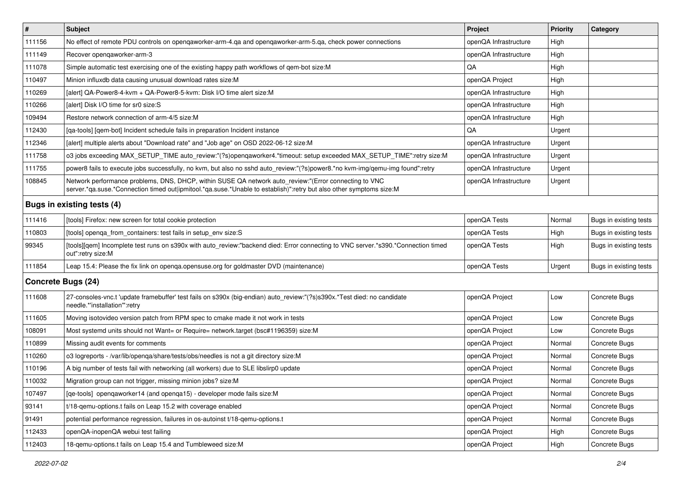| $\vert$ #                  | <b>Subject</b>                                                                                                                                                                                                               | Project               | Priority | Category               |
|----------------------------|------------------------------------------------------------------------------------------------------------------------------------------------------------------------------------------------------------------------------|-----------------------|----------|------------------------|
| 111156                     | No effect of remote PDU controls on openqaworker-arm-4.qa and openqaworker-arm-5.qa, check power connections                                                                                                                 | openQA Infrastructure | High     |                        |
| 111149                     | Recover opengaworker-arm-3                                                                                                                                                                                                   | openQA Infrastructure | High     |                        |
| 111078                     | Simple automatic test exercising one of the existing happy path workflows of qem-bot size:M                                                                                                                                  | QA                    | High     |                        |
| 110497                     | Minion influxdb data causing unusual download rates size:M                                                                                                                                                                   | openQA Project        | High     |                        |
| 110269                     | [alert] QA-Power8-4-kvm + QA-Power8-5-kvm: Disk I/O time alert size:M                                                                                                                                                        | openQA Infrastructure | High     |                        |
| 110266                     | [alert] Disk I/O time for sr0 size:S                                                                                                                                                                                         | openQA Infrastructure | High     |                        |
| 109494                     | Restore network connection of arm-4/5 size:M                                                                                                                                                                                 | openQA Infrastructure | High     |                        |
| 112430                     | [qa-tools] [qem-bot] Incident schedule fails in preparation Incident instance                                                                                                                                                | QA                    | Urgent   |                        |
| 112346                     | [alert] multiple alerts about "Download rate" and "Job age" on OSD 2022-06-12 size:M                                                                                                                                         | openQA Infrastructure | Urgent   |                        |
| 111758                     | o3 jobs exceeding MAX_SETUP_TIME auto_review:"(?s)openqaworker4.*timeout: setup exceeded MAX_SETUP_TIME":retry size:M                                                                                                        | openQA Infrastructure | Urgent   |                        |
| 111755                     | power8 fails to execute jobs successfully, no kvm, but also no sshd auto_review:"(?s)power8.*no kvm-img/qemu-img found":retry                                                                                                | openQA Infrastructure | Urgent   |                        |
| 108845                     | Network performance problems, DNS, DHCP, within SUSE QA network auto_review:"(Error connecting to VNC<br>server.*qa.suse.*Connection timed out ipmitool.*qa.suse.*Unable to establish)":retry but also other symptoms size:M | openQA Infrastructure | Urgent   |                        |
| Bugs in existing tests (4) |                                                                                                                                                                                                                              |                       |          |                        |
| 111416                     | [tools] Firefox: new screen for total cookie protection                                                                                                                                                                      | openQA Tests          | Normal   | Bugs in existing tests |
| 110803                     | [tools] openga_from_containers: test fails in setup_env size:S                                                                                                                                                               | openQA Tests          | High     | Bugs in existing tests |
| 99345                      | [tools][qem] Incomplete test runs on s390x with auto_review:"backend died: Error connecting to VNC server.*s390.*Connection timed<br>out":retry size:M                                                                       | openQA Tests          | High     | Bugs in existing tests |
| 111854                     | Leap 15.4: Please the fix link on openga.opensuse.org for goldmaster DVD (maintenance)                                                                                                                                       | openQA Tests          | Urgent   | Bugs in existing tests |
| <b>Concrete Bugs (24)</b>  |                                                                                                                                                                                                                              |                       |          |                        |
| 111608                     | 27-consoles-vnc.t 'update framebuffer' test fails on s390x (big-endian) auto_review:"(?s)s390x.*Test died: no candidate<br>needle.*'installation'":retry                                                                     | openQA Project        | Low      | Concrete Bugs          |
| 111605                     | Moving isotovideo version patch from RPM spec to cmake made it not work in tests                                                                                                                                             | openQA Project        | Low      | Concrete Bugs          |
| 108091                     | Most systemd units should not Want= or Require= network.target (bsc#1196359) size:M                                                                                                                                          | openQA Project        | Low      | Concrete Bugs          |
| 110899                     | Missing audit events for comments                                                                                                                                                                                            | openQA Project        | Normal   | Concrete Bugs          |
| 110260                     | o3 logreports - /var/lib/openqa/share/tests/obs/needles is not a git directory size:M                                                                                                                                        | openQA Project        | Normal   | Concrete Bugs          |
| 110196                     | A big number of tests fail with networking (all workers) due to SLE libslirp0 update                                                                                                                                         | openQA Project        | Normal   | Concrete Bugs          |
| 110032                     | Migration group can not trigger, missing minion jobs? size:M                                                                                                                                                                 | openQA Project        | Normal   | Concrete Bugs          |
| 107497                     | [qe-tools] openqaworker14 (and openqa15) - developer mode fails size: M                                                                                                                                                      | openQA Project        | Normal   | Concrete Bugs          |
| 93141                      | t/18-gemu-options.t fails on Leap 15.2 with coverage enabled                                                                                                                                                                 | openQA Project        | Normal   | Concrete Bugs          |
| 91491                      | potential performance regression, failures in os-autoinst t/18-qemu-options.t                                                                                                                                                | openQA Project        | Normal   | Concrete Bugs          |
| 112433                     | openQA-inopenQA webui test failing                                                                                                                                                                                           | openQA Project        | High     | Concrete Bugs          |
| 112403                     | 18-gemu-options.t fails on Leap 15.4 and Tumbleweed size:M                                                                                                                                                                   | openQA Project        | High     | Concrete Bugs          |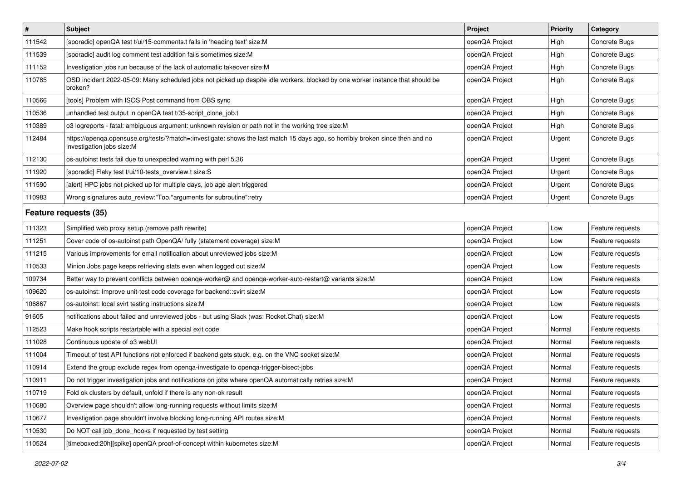| $\vert$ #             | <b>Subject</b>                                                                                                                                             | Project        | <b>Priority</b> | Category         |
|-----------------------|------------------------------------------------------------------------------------------------------------------------------------------------------------|----------------|-----------------|------------------|
| 111542                | [sporadic] openQA test t/ui/15-comments.t fails in 'heading text' size:M                                                                                   | openQA Project | High            | Concrete Bugs    |
| 111539                | [sporadic] audit log comment test addition fails sometimes size:M                                                                                          | openQA Project | High            | Concrete Bugs    |
| 111152                | Investigation jobs run because of the lack of automatic takeover size: M                                                                                   | openQA Project | High            | Concrete Bugs    |
| 110785                | OSD incident 2022-05-09: Many scheduled jobs not picked up despite idle workers, blocked by one worker instance that should be<br>broken?                  | openQA Project | High            | Concrete Bugs    |
| 110566                | [tools] Problem with ISOS Post command from OBS sync                                                                                                       | openQA Project | High            | Concrete Bugs    |
| 110536                | unhandled test output in openQA test t/35-script_clone_job.t                                                                                               | openQA Project | High            | Concrete Bugs    |
| 110389                | o3 logreports - fatal: ambiguous argument: unknown revision or path not in the working tree size:M                                                         | openQA Project | High            | Concrete Bugs    |
| 112484                | https://openqa.opensuse.org/tests/?match=:investigate: shows the last match 15 days ago, so horribly broken since then and no<br>investigation jobs size:M | openQA Project | Urgent          | Concrete Bugs    |
| 112130                | os-autoinst tests fail due to unexpected warning with perl 5.36                                                                                            | openQA Project | Urgent          | Concrete Bugs    |
| 111920                | [sporadic] Flaky test t/ui/10-tests_overview.t size:S                                                                                                      | openQA Project | Urgent          | Concrete Bugs    |
| 111590                | [alert] HPC jobs not picked up for multiple days, job age alert triggered                                                                                  | openQA Project | Urgent          | Concrete Bugs    |
| 110983                | Wrong signatures auto_review:"Too.*arguments for subroutine":retry                                                                                         | openQA Project | Urgent          | Concrete Bugs    |
| Feature requests (35) |                                                                                                                                                            |                |                 |                  |
| 111323                | Simplified web proxy setup (remove path rewrite)                                                                                                           | openQA Project | Low             | Feature requests |
| 111251                | Cover code of os-autoinst path OpenQA/ fully (statement coverage) size:M                                                                                   | openQA Project | Low             | Feature requests |
| 111215                | Various improvements for email notification about unreviewed jobs size:M                                                                                   | openQA Project | Low             | Feature requests |
| 110533                | Minion Jobs page keeps retrieving stats even when logged out size: M                                                                                       | openQA Project | Low             | Feature requests |
| 109734                | Better way to prevent conflicts between openqa-worker@ and openqa-worker-auto-restart@ variants size:M                                                     | openQA Project | Low             | Feature requests |
| 109620                | os-autoinst: Improve unit-test code coverage for backend::svirt size:M                                                                                     | openQA Project | Low             | Feature requests |
| 106867                | os-autoinst: local svirt testing instructions size:M                                                                                                       | openQA Project | Low             | Feature requests |
| 91605                 | notifications about failed and unreviewed jobs - but using Slack (was: Rocket.Chat) size:M                                                                 | openQA Project | Low             | Feature requests |
| 112523                | Make hook scripts restartable with a special exit code                                                                                                     | openQA Project | Normal          | Feature requests |
| 111028                | Continuous update of 03 webUI                                                                                                                              | openQA Project | Normal          | Feature requests |
| 111004                | Timeout of test API functions not enforced if backend gets stuck, e.g. on the VNC socket size:M                                                            | openQA Project | Normal          | Feature requests |
| 110914                | Extend the group exclude regex from openga-investigate to openga-trigger-bisect-jobs                                                                       | openQA Project | Normal          | Feature requests |
| 110911                | Do not trigger investigation jobs and notifications on jobs where openQA automatically retries size:M                                                      | openQA Project | Normal          | Feature requests |
| 110719                | Fold ok clusters by default, unfold if there is any non-ok result                                                                                          | openQA Project | Normal          | Feature requests |
| 110680                | Overview page shouldn't allow long-running requests without limits size:M                                                                                  | openQA Project | Normal          | Feature requests |
| 110677                | Investigation page shouldn't involve blocking long-running API routes size:M                                                                               | openQA Project | Normal          | Feature requests |
| 110530                | Do NOT call job done hooks if requested by test setting                                                                                                    | openQA Project | Normal          | Feature requests |
| 110524                | [timeboxed:20h][spike] openQA proof-of-concept within kubernetes size:M                                                                                    | openQA Project | Normal          | Feature requests |